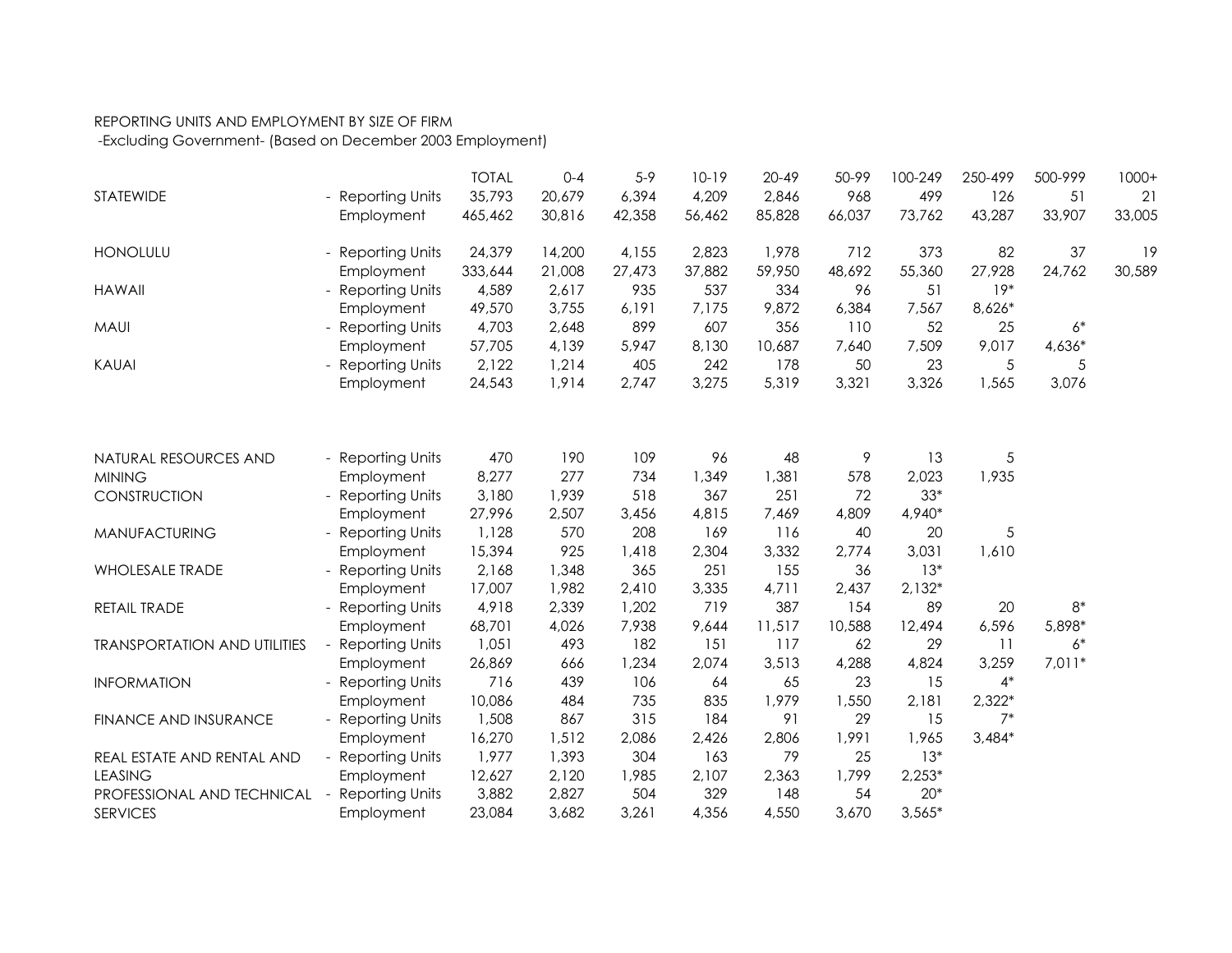## REPORTING UNITS AND EMPLOYMENT BY SIZE OF FIRM

-Excluding Government- (Based on December 2003 Employment)

|                                     |                        | <b>TOTAL</b> | $0 - 4$ | $5-9$  | $10-19$ | $20 - 49$ | 50-99  | 100-249  | 250-499  | 500-999  | $1000+$ |
|-------------------------------------|------------------------|--------------|---------|--------|---------|-----------|--------|----------|----------|----------|---------|
| <b>STATEWIDE</b>                    | - Reporting Units      | 35,793       | 20,679  | 6,394  | 4,209   | 2,846     | 968    | 499      | 126      | 51       | 21      |
|                                     | Employment             | 465,462      | 30,816  | 42,358 | 56,462  | 85,828    | 66,037 | 73,762   | 43,287   | 33,907   | 33,005  |
| <b>HONOLULU</b>                     | <b>Reporting Units</b> | 24,379       | 14,200  | 4,155  | 2,823   | 1,978     | 712    | 373      | 82       | 37       | 19      |
|                                     | Employment             | 333,644      | 21,008  | 27,473 | 37,882  | 59,950    | 48,692 | 55,360   | 27,928   | 24,762   | 30,589  |
| <b>HAWAII</b>                       | <b>Reporting Units</b> | 4,589        | 2,617   | 935    | 537     | 334       | 96     | 51       | $19*$    |          |         |
|                                     | Employment             | 49,570       | 3,755   | 6,191  | 7,175   | 9,872     | 6,384  | 7,567    | 8,626*   |          |         |
| <b>MAUI</b>                         | <b>Reporting Units</b> | 4,703        | 2,648   | 899    | 607     | 356       | 110    | 52       | 25       | $6*$     |         |
|                                     | Employment             | 57,705       | 4,139   | 5,947  | 8,130   | 10,687    | 7,640  | 7,509    | 9,017    | 4,636*   |         |
| KAUAI                               | - Reporting Units      | 2,122        | 1,214   | 405    | 242     | 178       | 50     | 23       | 5        | 5        |         |
|                                     | Employment             | 24,543       | 1,914   | 2,747  | 3,275   | 5,319     | 3,321  | 3,326    | 1,565    | 3,076    |         |
|                                     |                        |              |         |        |         |           |        |          |          |          |         |
| NATURAL RESOURCES AND               | - Reporting Units      | 470          | 190     | 109    | 96      | 48        | 9      | 13       | 5        |          |         |
| <b>MINING</b>                       | Employment             | 8,277        | 277     | 734    | 1,349   | 1,381     | 578    | 2,023    | 1,935    |          |         |
| CONSTRUCTION                        | - Reporting Units      | 3,180        | 1,939   | 518    | 367     | 251       | 72     | $33*$    |          |          |         |
|                                     | Employment             | 27,996       | 2,507   | 3,456  | 4,815   | 7,469     | 4,809  | 4,940*   |          |          |         |
| <b>MANUFACTURING</b>                | <b>Reporting Units</b> | 1,128        | 570     | 208    | 169     | 116       | 40     | 20       | 5        |          |         |
|                                     | Employment             | 15,394       | 925     | 1,418  | 2,304   | 3,332     | 2,774  | 3,031    | 1,610    |          |         |
| <b>WHOLESALE TRADE</b>              | <b>Reporting Units</b> | 2,168        | 1,348   | 365    | 251     | 155       | 36     | $13*$    |          |          |         |
|                                     | Employment             | 17,007       | 1,982   | 2,410  | 3,335   | 4,711     | 2,437  | $2,132*$ |          |          |         |
| RETAIL TRADE                        | <b>Reporting Units</b> | 4,918        | 2,339   | 1,202  | 719     | 387       | 154    | 89       | 20       | $8*$     |         |
|                                     | Employment             | 68,701       | 4,026   | 7,938  | 9,644   | 11,517    | 10,588 | 12,494   | 6,596    | 5,898*   |         |
| <b>TRANSPORTATION AND UTILITIES</b> | <b>Reporting Units</b> | 1,051        | 493     | 182    | 151     | 117       | 62     | 29       | 11       | $6*$     |         |
|                                     | Employment             | 26,869       | 666     | 1,234  | 2,074   | 3,513     | 4,288  | 4,824    | 3,259    | $7,011*$ |         |
| <b>INFORMATION</b>                  | <b>Reporting Units</b> | 716          | 439     | 106    | 64      | 65        | 23     | 15       | $4*$     |          |         |
|                                     | Employment             | 10,086       | 484     | 735    | 835     | 1,979     | 1,550  | 2,181    | $2,322*$ |          |         |
| <b>FINANCE AND INSURANCE</b>        | <b>Reporting Units</b> | 1,508        | 867     | 315    | 184     | 91        | 29     | 15       | $7*$     |          |         |
|                                     | Employment             | 16,270       | 1,512   | 2,086  | 2,426   | 2,806     | 1,991  | 1,965    | $3,484*$ |          |         |
| REAL ESTATE AND RENTAL AND          | <b>Reporting Units</b> | 1,977        | 1,393   | 304    | 163     | 79        | 25     | $13*$    |          |          |         |
| <b>LEASING</b>                      | Employment             | 12,627       | 2,120   | 1,985  | 2,107   | 2,363     | 1,799  | $2,253*$ |          |          |         |
| PROFESSIONAL AND TECHNICAL          | <b>Reporting Units</b> | 3,882        | 2,827   | 504    | 329     | 148       | 54     | $20*$    |          |          |         |
| <b>SERVICES</b>                     | Employment             | 23,084       | 3,682   | 3,261  | 4,356   | 4,550     | 3,670  | $3,565*$ |          |          |         |